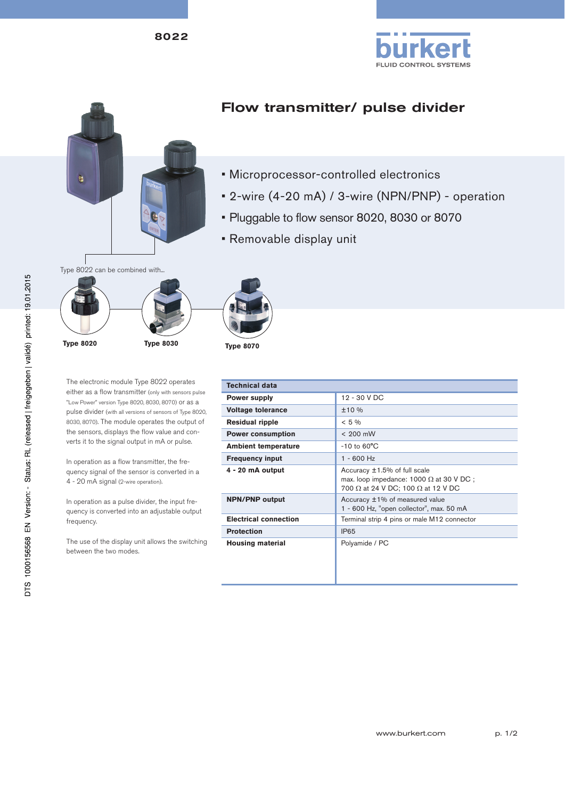8022





## Flow transmitter/ pulse divider

- Microprocessor-controlled electronics
- 2-wire (4-20 mA) / 3-wire (NPN/PNP) operation
- Pluggable to flow sensor 8020, 8030 or 8070
- Removable display unit



The electronic module Type 8022 operates either as a flow transmitter (only with sensors pulse "Low Power" version Type 8020, 8030, 8070) or as a pulse divider (with all versions of sensors of Type 8020, 8030, 8070). The module operates the output of the sensors, displays the flow value and converts it to the signal output in mA or pulse.

In operation as a flow transmitter, the frequency signal of the sensor is converted in a 4 - 20 mA signal (2-wire operation).

In operation as a pulse divider, the input frequency is converted into an adjustable output frequency.

The use of the display unit allows the switching between the two modes.

| <b>Technical data</b>        |                                                                                                                                     |
|------------------------------|-------------------------------------------------------------------------------------------------------------------------------------|
| <b>Power supply</b>          | 12 - 30 V DC                                                                                                                        |
| <b>Voltage tolerance</b>     | ±10%                                                                                                                                |
| <b>Residual ripple</b>       | $< 5\%$                                                                                                                             |
| <b>Power consumption</b>     | $< 200$ mW                                                                                                                          |
| <b>Ambient temperature</b>   | $-10$ to $60^{\circ}$ C                                                                                                             |
| <b>Frequency input</b>       | $1 - 600$ Hz                                                                                                                        |
| 4 - 20 mA output             | Accuracy ±1.5% of full scale<br>max. loop impedance: $1000 \Omega$ at 30 V DC :<br>700 $\Omega$ at 24 V DC; 100 $\Omega$ at 12 V DC |
| <b>NPN/PNP output</b>        | Accuracy ±1% of measured value<br>1 - 600 Hz, "open collector", max. 50 mA                                                          |
| <b>Electrical connection</b> | Terminal strip 4 pins or male M12 connector                                                                                         |
| <b>Protection</b>            | IP <sub>65</sub>                                                                                                                    |
| <b>Housing material</b>      | Polyamide / PC                                                                                                                      |